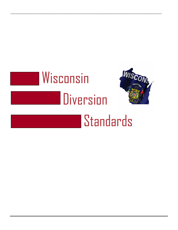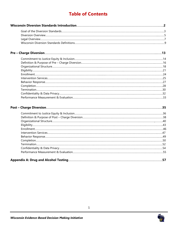# **Table of Contents**

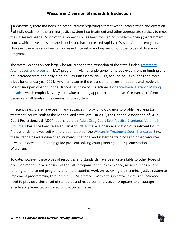# **Wisconsin Diversion Standards Introduction**

n Wisconsin, there has been increased interest regarding alternatives to incarceration and diversion In Wisconsin, there has been increased interest regarding alternatives to incarceration and diversion<br>of individuals from the criminal justice system into treatment and other appropriate services to meet their assessed needs. Much of this momentum has been focused on problem-solving (or treatment) courts, which have an established model and have increased rapidly in Wisconsin in recent years. However, there has also been an increased interest in and expansion of other types of diversion programs.

The overall expansion can largely be attributed to the expansion of the state-funded **Treatment** [Alternatives and Diversion](https://cjcc.doj.wi.gov/initiative/tad-0) (TAD) program. TAD has undergone numerous expansions in funding and has increased from originally funding 9 counties (through 2013) to funding 53 counties and three tribes for calendar year 2021. Another factor in the expansion of diversion options and models is Wisconsin's participation in the National Institute of Corrections' [Evidence-Based Decision Making](http://info.nicic.gov/ebdm/)  [Initiative, which emphasizes a system-wide planning approach](http://info.nicic.gov/ebdm/) and the use of research to inform [decisions at all levels of the criminal justice system.](http://info.nicic.gov/ebdm/)

In recent years, there have been many advances in providing guidance to problem-solving (or treatment) courts, both at the national and state level. In 2013, the National Association of Drug Court Professionals (NADCP) published their [Adult Drug Court Best Practice Standards, Volume I](http://www.allrise.org/sites/default/files/nadcp/AdultDrugCourtBestPracticeStandards.pdf)  [\(Volume II h](http://www.nadcp.org/sites/default/files/2014/Best%20Practice%20Standards%20Vol.%20II._0.pdf)as since been released). In April 2014, the Wisconsin Association of Treatment Court Professionals followed suit with the publication of the [Wisconsin Treatment Court Standards.](http://www.watcp.org/wp-content/uploads/2014/05/WATCP_Standards_April-2014.pdf) Since these Standards were developed, numerous national and statewide trainings and other resources have been developed to help guide problem-solving court planning and implementation in Wisconsin.

To date, however, these types of resources and standards have been unavailable to other types of diversion models in Wisconsin. As the TAD program continues to expand, more counties receive funding to implement programs, and more counties work on reviewing their criminal justice system to implement programming through the EBDM Initiative. Within this initiative, there is an increased need to provide a similar set of standards and resources for diversion programs to encourage effective implementation, based on the current research.

2

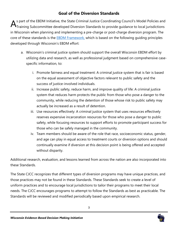# **Goal of the Diversion Standards**

s part of the EBDM Initiative, the State Criminal Justice Coordinating Council's Model Policies and Training Subcommittee developed Diversion Standards to provide guidance to local jurisdictions in Wisconsin when planning and implementing a pre-charge or post-charge diversion program. The core of these standards is the **EBDM Framework**, which is based on the following guiding principles developed through Wisconsin's EBDM effort: A

- a. Wisconsin's criminal justice system should support the overall Wisconsin EBDM effort by utilizing data and research, as well as professional judgment based on comprehensive casespecific information, to:
	- i. Promote fairness and equal treatment: A criminal justice system that is fair is based on the equal assessment of objective factors relevant to public safety and the success of justice-involved individuals.
	- ii. Increase public safety, reduce harm, and improve quality of life: A criminal justice system that reduces harm protects the public from those who pose a danger to the community, while reducing the detention of those whose risk to public safety may actually be increased as a result of detention.
	- iii. Use resources effectively: A criminal justice system that uses resources effectively reserves expensive incarceration resources for those who pose a danger to public safety, while focusing resources to support efforts to promote participant success for those who can be safely managed in the community.
	- iv. Team members should be aware of the role that race, socioeconomic status, gender, and age can play in equal access to treatment courts or diversion options and should continually examine if diversion at this decision point is being offered and accepted without disparity.

Additional research, evaluation, and lessons learned from across the nation are also incorporated into these Standards.

The State CJCC recognizes that different types of diversion programs may have unique practices, and those practices may not be found in these Standards. These Standards seek to create a level of uniform practices and to encourage local jurisdictions to tailor their programs to meet their local needs. The CJCC encourages programs to attempt to follow the Standards as best as practicable. The Standards will be reviewed and modified periodically based upon empirical research.

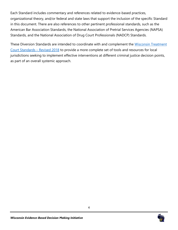Each Standard includes commentary and references related to evidence-based practices, organizational theory, and/or federal and state laws that support the inclusion of the specific Standard in this document. There are also references to other pertinent professional standards, such as the American Bar Association Standards, the National Association of Pretrial Services Agencies (NAPSA) Standards, and the National Association of Drug Court Professionals (NADCP) Standards.

These Diversion Standards are intended to coordinate with and complement the [Wisconsin Treatment](https://www.watcp.org/wp-content/uploads/2018/12/FINAL-WI-Treatment-Court-Standards-2018.pdf)  [Court Standards](https://www.watcp.org/wp-content/uploads/2018/12/FINAL-WI-Treatment-Court-Standards-2018.pdf) – Revised 2018 to provide a more complete set of tools and resources for local jurisdictions seeking to implement effective interventions at different criminal justice decision points, as part of an overall systemic approach.

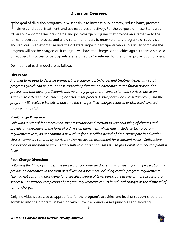# **Diversion Overview**

he goal of diversion programs in Wisconsin is to increase public safety, reduce harm, promote fairness and equal treatment, and use resources effectively. For the purpose of these Standards, "diversion" encompasses pre-charge and post-charge programs that provide an alternative to the formal prosecution process and allow certain offenders to enter voluntary programs of supervision and services. In an effort to reduce the collateral impact, participants who successfully complete the program will not be charged or, if charged, will have the charges or penalties against them dismissed or reduced. Unsuccessful participants are returned to (or referred to) the formal prosecution process. T

Definitions of each model are as follows:

# **Diversion:**

*A global term used to describe pre-arrest, pre-charge, post-charge, and treatment/specialty court programs (which can be pre- or post-conviction) that are an alternative to the formal prosecution process and that divert participants into voluntary programs of supervision and services, based on established criteria and a screening or assessment process. Participants who successfully complete the program will receive a beneficial outcome (no charges filed, charges reduced or dismissed, averted incarceration, etc.).*

# **Pre-Charge Diversion:**

*Following a referral for prosecution, the prosecutor has discretion to withhold filing of charges and provide an alternative in the form of a diversion agreement which may include certain program requirements (e.g., do not commit a new crime for a specified period of time, participate in education classes, complete community service, and/or receive an assessment for treatment needs). Satisfactory completion of program requirements results in charges not being issued (no formal criminal complaint is filed).*

# **Post-Charge Diversion:**

*Following the filing of charges, the prosecutor can exercise discretion to suspend formal prosecution and provide an alternative in the form of a diversion agreement including certain program requirements (e.g., do not commit a new crime for a specified period of time, participate in one or more programs or services). Satisfactory completion of program requirements results in reduced charges or the dismissal of formal charges.*

Only individuals assessed as appropriate for the program's activities and level of support should be admitted into the program. In keeping with current evidence-based principles and avoiding

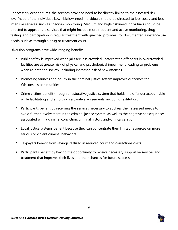unnecessary expenditures, the services provided need to be directly linked to the assessed risk level/need of the individual. Low-risk/low-need individuals should be directed to less costly and less intensive services, such as check-in monitoring. Medium and high-risk/need individuals should be directed to appropriate services that might include more frequent and active monitoring, drug testing, and participation in regular treatment with qualified providers for documented substance use needs, such as through a drug or treatment court.

Diversion programs have wide-ranging benefits:

- Public safety is improved when jails are less crowded. Incarcerated offenders in overcrowded facilities are at greater risk of physical and psychological impairment, leading to problems when re-entering society, including increased risk of new offenses.
- Promoting fairness and equity in the criminal justice system improves outcomes for Wisconsin's communities.
- Crime victims benefit through a restorative justice system that holds the offender accountable while facilitating and enforcing restorative agreements, including restitution.
- Participants benefit by receiving the services necessary to address their assessed needs to avoid further involvement in the criminal justice system, as well as the negative consequences associated with a criminal conviction, criminal history and/or incarceration.
- **Local justice systems benefit because they can concentrate their limited resources on more** serious or violent criminal behaviors.
- Taxpayers benefit from savings realized in reduced court and corrections costs.
- Participants benefit by having the opportunity to receive necessary supportive services and treatment that improves their lives and their chances for future success.

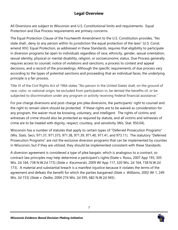# **Legal Overview**

All Diversions are subject to Wisconsin and U.S. Constitutional limits and requirements. Equal Protection and Due Process requirements are primary concerns.

The Equal Protection Clause of the Fourteenth Amendment to the U.S. Constitution provides, "No state shall…deny to any person within its jurisdiction the equal protection of the laws" (U.S. Const. amend XIV). Equal Protection, as addressed in these Standards, requires that eligibility to participate in diversion programs be open to individuals regardless of race, ethnicity, gender, sexual orientation, sexual identity, physical or mental disability, religion, or socioeconomic status. Due Process generally requires access to counsel, notice of violations and sanctions, a process to contest and appeal decisions, and a record of the proceedings. Although the specific requirements of due process vary according to the types of potential sanctions and proceeding that an individual faces, the underlying principle is a fair process.

Title VI of the Civil Rights Act of 1964 states "No person in the United States shall, on the ground of race, color, or national origin, be excluded from participation in, be denied the benefits of, or be subjected to discrimination under any program or activity receiving Federal financial assistance."

For pre-charge diversions and post-charge pre-plea diversions, the participants' right to counsel and the right to remain silent should be protected. If these rights are to be waived as consideration for any program, the waiver must be knowing, voluntary, and intelligent. The rights of victims and witnesses of crime should also be protected as required by statute, and all victims and witnesses of crime are to be treated with dignity, respect, courtesy, and sensitivity (Wis. Stat. 950.04).

Wisconsin has a number of statutes that apply to certain types of "Deferred Prosecution Programs" (Wis. Stats. Secs. 971.37, 971.375, 971.38, 971.39, 971.40, 971.41, and 973.11). The statutory "Deferred Prosecution Programs" are not the exclusive diversion programs that can be implemented by counties in Wisconsin, but if they are utilized, they should be implemented consistent with these Standards.

A diversion agreement is considered a type of plea bargain, which is analogous to a contract, so contract-law principles may help determine a participant's rights (State v. Roou, 2007 App 193, 305 Wis. 2d 164, 738 N.W.2d 173) (*State v. Kaczmarski*, 2009 WI App 117, 320 Wis. 2d 164, 738 N.W.2d 173). A material and substantial breach is a manifest injustice because it violates the terms of the agreement and defeats the benefit for which the parties bargained (*State v. Williams*, 2002 WI 1, 249 Wis. 2d 733) (*State v. Deilke*, 2004 274 Wis. 2d 595, 682 N.W.2d 945) .

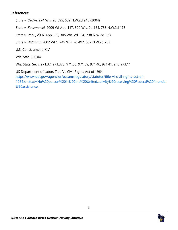### **References:**

*State v. Deilke*, 274 Wis. 2d 595, 682 N.W.2d 945 (2004)

*State v. Kaczmarski*, 2009 WI App 117, 320 Wis. 2d 164, 738 N.W.2d 173

*State v. Roou*, 2007 App 193, 305 Wis. 2d 164, 738 N.W.2d 173

*State v. Williams*, 2002 WI 1, 249 Wis. 2d 492, 637 N.W.2d 733

U.S. Const. amend XIV

Wis. Stat. 950.04

Wis. Stats. Secs. 971.37, 971.375, 971.38, 971.39, 971.40, 971.41, and 973.11

US Department of Labor, Title VI, Civil Rights Act of 1964 [https://www.dol.gov/agencies/oasam/regulatory/statutes/title-vi-civil-rights-act-of-](https://www.dol.gov/agencies/oasam/regulatory/statutes/title-vi-civil-rights-act-of-1964#:%7E:text=No%20person%20in%20the%20United,activity%20receiving%20Federal%20financial%20assistance)[1964#:~:text=No%20person%20in%20the%20United,activity%20receiving%20Federal%20financial](https://www.dol.gov/agencies/oasam/regulatory/statutes/title-vi-civil-rights-act-of-1964#:%7E:text=No%20person%20in%20the%20United,activity%20receiving%20Federal%20financial%20assistance) [%20assistance.](https://www.dol.gov/agencies/oasam/regulatory/statutes/title-vi-civil-rights-act-of-1964#:%7E:text=No%20person%20in%20the%20United,activity%20receiving%20Federal%20financial%20assistance)



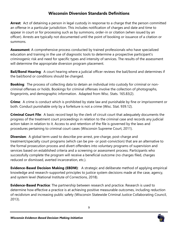# **Wisconsin Diversion Standards Definitions**

**Arrest**: Act of detaining a person in legal custody in response to a charge that the person committed an offense in a particular jurisdiction. This includes notification of charges and date and time to appear in court or for processing such as by summons, order-in or citation (when issued by an officer). Arrests are typically not documented until the point of booking or issuance of a citation or summons.

**Assessment**: A comprehensive process conducted by trained professionals who have specialized education and training in the use of diagnostic tools to determine a prospective participant's criminogenic risk and need for specific types and intensity of services. The results of the assessment will determine the appropriate diversion program placement.

**Bail/Bond Hearing**: A court hearing where a judicial officer reviews the bail/bond and determines if the bail/bond or conditions should be changed.

**Booking**: The process of collecting data to detain an individual into custody for criminal or noncriminal offenses or holds. Bookings for criminal offenses involve the collection of photographs, fingerprints, and demographic information. Adapted from Wisc. Stats. 165.83(2).

**Crime**: A crime is conduct which is prohibited by state law and punishable by fine or imprisonment or both. Conduct punishable only by a forfeiture is not a crime (Wisc. Stat. 939.12).

**Criminal Court File**: A basic record kept by the clerk of circuit court that adequately documents the progress of the treatment court proceedings in relation to the criminal case and records any judicial action taken in relation to it. Access to and retention of the file is governed by the laws and procedures pertaining to criminal court cases (Wisconsin Supreme Court, 2011).

**Diversion**: A global term used to describe pre-arrest, pre-charge, post-charge and treatment/specialty court programs (which can be pre- or post-conviction) that are an alternative to the formal prosecution process and divert offenders into voluntary programs of supervision and services based on established criteria and a screening or assessment process. Participants who successfully complete the program will receive a beneficial outcome (no charges filed, charges reduced or dismissed, averted incarceration, etc.).

**Evidence-Based Decision Making (EBDM):** A strategic and deliberate method of applying empirical knowledge and research-supported principles to justice system decisions made at the case, agency, and system level (National Institute of Corrections, 2018).

**Evidence-Based Practice**: The partnership between research and practice. Research is used to determine how effective a practice is at achieving positive measurable outcomes, including reduction of recidivism and increasing public safety (Wisconsin Statewide Criminal Justice Collaborating Council, 2013).

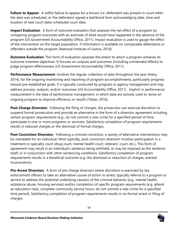**Failure to Appear**: A willful failure to appear for a known (i.e. defendant was present in court when the date was scheduled, or the defendant signed a bail/bond form acknowledging date, time and location of next court date) scheduled court date.

**Impact Evaluation**: A form of outcome evaluation that assesses the net effect of a program by comparing program outcomes with an estimate of what would have happened in the absence of the program (US Government Accountability Office, 2011). Impact evaluation is used to gauge the effect of the intervention on the target population, if information is available on comparable defendants or offenders outside the program (National Institute of Justice, 2010).

**Outcome Evaluation**: This form of evaluation assesses the extent to which a program achieves its outcome-oriented objectives. It focuses on outputs and outcomes (including unintended effects) to judge program effectiveness (US Government Accountability Office, 2011).

**Performance Measurement:** Involves the regular collection of data throughout the year (Hatry, 2014), for the ongoing monitoring and reporting of program accomplishments, particularly progress toward pre-established goals. It is typically conducted by program or agency management and may address process, outputs, and/or outcomes (US Accountability Office, 2011). Implicit in performance measurement is the idea of performance management, in which data are actively used to revise an ongoing program to improve efficiency or results (Tatian, 2016).

**Post-Charge Diversion**: Following the filing of charges, the prosecutor can exercise discretion to suspend formal prosecution and provide an alternative in the form of a diversion agreement including certain program requirements (e.g., do not commit a new crime for a specified period of time, participate in one or more programs or services). Satisfactory completion of program requirements results in reduced charges or the dismissal of formal charges.

**Post-Conviction Diversion**: Following a criminal conviction, a variety of alternative interventions may be mandated for an individual. Most typically, post-conviction diversion involves participation in a treatment or specialty court (drug court, mental health court, veterans' court, etc.). This form of agreement may result in an individual's sentence being withheld, or may be imposed as the sentence itself, or in conjunction with other sentencing conditions. Satisfactory completion of program requirements results in a beneficial outcome (e.g. the dismissal or reduction of charges, averted incarceration).

**Pre-Arrest Diversion**: A form of pre-charge diversion where discretion is exercised by law enforcement officers to take an alternative course of action to arrest, typically referral to a program or service to address the potential underlying cause(s) of the criminal behavior (e.g., mental health, substance abuse, housing services) and/or completion of specific program requirements (e.g. attend an education class, complete community service hours, do not commit a new crime for a specified time period). Satisfactory completion of program requirements results in no formal arrest or filing of charges.

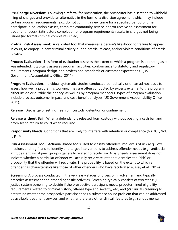**Pre-Charge Diversion**: Following a referral for prosecution, the prosecutor has discretion to withhold filing of charges and provide an alternative in the form of a diversion agreement which may include certain program requirements (e.g., do not commit a new crime for a specified period of time, participate in education classes, complete community service, and/or receive an assessment for treatment needs). Satisfactory completion of program requirements results in charges not being issued (no formal criminal complaint is filed).

**Pretrial Risk Assessment**: A validated tool that measures a person's likelihood for failure to appear in court, to engage in new criminal activity during pretrial release, and/or violate conditions of pretrial release.

**Process Evaluation**: This form of evaluation assesses the extent to which a program is operating as it was intended. It typically assesses program activities, conformance to statutory and regulatory requirements, program design, and professional standards or customer expectations. (US Government Accountability Office, 2011).

**Program Evaluation**: Individual systematic studies conducted periodically or on an ad hoc basis to assess how well a program is working. They are often conducted by experts external to the program, either inside or outside the agency, as well as by program managers. Types of program evaluation include process, outcome, impact, and cost-benefit analyses (US Government Accountability Office, 2011).

**Release**: Discharge or setting free from custody, detention or confinement.

**Release without Bail**: When a defendant is released from custody without posting a cash bail and promises to return to court when required.

**Responsivity Needs:** Conditions that are likely to interfere with retention or compliance (NADCP, Vol. II, p. 9).

**Risk Assessment Tool**: Actuarial-based tools used to classify offenders into levels of risk (e.g., low, medium, and high) and to identify and target interventions to address offender needs (e.g., antisocial attitudes, antisocial peer groups) generally related to recidivism. A risk/needs assessment does not indicate whether a particular offender will actually recidivate; rather it identifies the "risk" or probability that the offender will recidivate. The probability is based on the extent to which an offender has characteristics like those of other offenders who have recidivated (Casey et al., 2014).

**Screening**: A process conducted in the very early stages of diversion involvement and typically precedes assessment and other diagnostic activities. Screening typically consists of two steps: (1) justice system screening to decide if the prospective participant meets predetermined eligibility requirements related to criminal history, offense type and severity, etc.; and (2) clinical screening to determine whether the prospective participant has a substance abuse problem that can be addressed by available treatment services, and whether there are other clinical features (e.g., serious mental

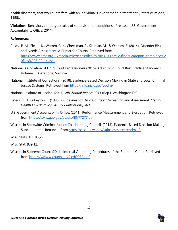health disorders) that would interfere with an individual's involvement in treatment (Peters & Peyton, 1998).

**Violation**: Behaviors contrary to rules of supervision or conditions of release (U.S. Government Accountability Office, 2011).

### **References:**

- Casey, P. M., Elek, J. K., Warren, R. K., Cheesman, F., Kleiman, M., & Ostrom, B. (2014). Offender Risk and Needs Assessment: A Primer for Courts. Retrieved from [https://www.ncsc.org/~/media/microsites/files/csi/bja%20rna%20final%20report\\_combined%2](https://www.ncsc.org/%7E/media/microsites/files/csi/bja%20rna%20final%20report_combined%20files%208-22-14.ashx) [0files%208-22-14.ashx](https://www.ncsc.org/%7E/media/microsites/files/csi/bja%20rna%20final%20report_combined%20files%208-22-14.ashx)
- National Association of Drug Court Professionals (2015). Adult Drug Court Best Practice Standards, Volume II. Alexandria, Virginia.
- National Institute of Corrections. (2018). Evidence-Based Decision Making in State and Local Criminal Justice Systems. Retrieved from<https://info.nicic.gov/ebdm/>
- National Institute of Justice. (2011). *NIJ Annual Report 2011* (Rep.). Washington D.C.
- Peters, R. H., & Peyton, E. (1998). Guidelines for Drug Courts on Screening and Assessment. *Mental Health Law & Policy Faculty Publications, 363*.
- U.S. Government Accountability Office. (2011). Performance Measurement and Evaluation. Retrieved from<https://www.gao.gov/assets/80/77277.pdf>
- Wisconsin Statewide Criminal Justice Collaborating Council. (2013). Evidence-Based Decision Making Subcommittee. Retrieved from<https://cjcc.doj.wi.gov/subcommittee/ebdms-0>

Wisc. Stats. 165.83(2).

Wisc. Stat. 939.12.

Wisconsin Supreme Court. (2011). Internal Operating Procedures of the Supreme Court. Retrieved from<https://www.wicourts.gov/sc/IOPSC.pdf>

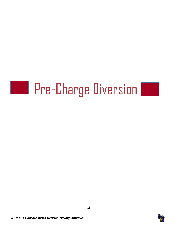# **Letter Pre-Charge Diversion Letter**

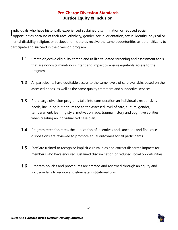# **Pre-Charge Diversion Standards Justice Equity & Inclusion**

ndividuals who have historically experienced sustained discrimination or reduced social Individuals who have historically experienced sustained discrimination or reduced social<br>opportunities because of their race, ethnicity, gender, sexual orientation, sexual identity, physical or mental disability, religion, or socioeconomic status receive the same opportunities as other citizens to participate and succeed in the diversion program.

- **1.1** Create objective eligibility criteria and utilize validated screening and assessment tools that are nondiscriminatory in intent and impact to ensure equitable access to the program.
- **1.2** All participants have equitable access to the same levels of care available, based on their assessed needs, as well as the same quality treatment and supportive services.
- **1.3** Pre-charge diversion programs take into consideration an individual's responsivity needs, including but not limited to the assessed level of care, culture, gender, temperament, learning style, motivation, age, trauma history and cognitive abilities when creating an individualized case plan.
- **1.4** Program retention rates, the application of incentives and sanctions and final case dispositions are reviewed to promote equal outcomes for all participants.
- **1.5** Staff are trained to recognize implicit cultural bias and correct disparate impacts for members who have endured sustained discrimination or reduced social opportunities.
- **1.6** Program policies and procedures are created and reviewed through an equity and inclusion lens to reduce and eliminate institutional bias.

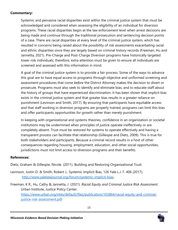### **Commentary:**

Systemic and pervasive racial disparities exist within the criminal justice system that must be acknowledged and considered when assessing the eligibility of an individual for diversion programs. These racial disparities begin at the law enforcement level when arrest decisions are being made and continue through the traditional prosecution and sentencing decision points of a case. There are racial disparities at every level of the criminal justice system, which has resulted in concerns being raised about the possibility of risk assessments exacerbating racial and ethnic disparities since they are largely based on criminal history records (Freeman, Hu and Jannetta, 2021). Pre-Charge and Post-Charge Diversion programs have historically targeted lower-risk individuals; therefore, extra attention must be given to ensure all individuals are screened and assessed with this information in mind.

A goal of the criminal justice system is to provide a fair process. Some of the ways to advance this goal are to have equal access to programs through objective and uniformed screening and assessment procedures that come *before* the District Attorney makes the decision to divert or prosecute. Programs must also seek to identify and eliminate bias, and to educate staff about the history of groups that have experienced discrimination. It has been shown that implicit bias exists in the criminal justice system and that greater bias results in a greater reliance on punishment (Levinson and Smith, 2017). By ensuring that participants have equitable access and that staff working in diversion programs are properly trained, programs can limit this bias and offer participants opportunities for growth rather than merely punishment.

In keeping with organizational and systems theories, confidence in an organization or societal institutions may be undermined when principles of justice operate ineffectively or are completely absent. Trust must be restored for systems to operate effectively and having a transparent process can facilitate that relationship (Gillespie and Dietz, 2009). This is true for both stakeholders and participants. Because a criminal record results in a host of other consequences regarding housing, employment, education, and other social opportunities, jurisdictions must not limit access to diversion programs and their benefits.

### **References:**

Dietz, Graham & Gillespie, Nicole. (2011). Building and Restoring Organizational Trust.

Levinson, Justin D. & Smith, Robert J., Systemic Implicit Bias, 126 Yale L.J. F. 406 (2017), <http://www.yalelawjournal.org/forum/systemic-implicit-bias>**.**

Freeman, K R., Hu, Cathy & Jannetta, J. (2021). *Racial Equity and Criminal Justice Risk Assessment.* Urban Institute, Justice Policy Center. [https://www.urban.org/sites/default/files/publication/103864/racial-equity-and-criminal](https://www.urban.org/sites/default/files/publication/103864/racial-equity-and-criminal-justice-risk-assessment.pdf)[justice-risk-assessment.pdf](https://www.urban.org/sites/default/files/publication/103864/racial-equity-and-criminal-justice-risk-assessment.pdf)

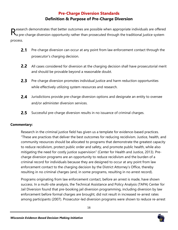# **Pre-Charge Diversion Standards Definition & Purpose of Pre-Charge Diversion**

 $\blacktriangleright$  esearch demonstrates that better outcomes are possible when appropriate individuals are offered  $\mathsf{R}^\text{esearch}$  demonstrates that better outcomes are possible when appropriate individuals are offered  $\mathsf{R}_\text{a}$  pre-charge diversion opportunity rather than prosecuted through the traditional justice system process.

- **2.1** Pre-charge diversion can occur at any point from law enforcement contact through the prosecutor's charging decision.
- **2.2** All cases considered for diversion at the charging decision shall have prosecutorial merit and should be provable beyond a reasonable doubt.
- **2.3** Pre-charge diversion promotes individual justice and harm reduction opportunities while effectively utilizing system resources and research.
- **2.4** Jurisdictions provide pre-charge diversion options and designate an entity to oversee and/or administer diversion services.
- **2.5** Successful pre-charge diversion results in no issuance of criminal charges.

# **Commentary:**

Research in the criminal justice field has given us a template for evidence-based practices. "These are practices that deliver the best outcomes for reducing recidivism. Justice, health, and community resources should be allocated to programs that demonstrate the greatest capacity to reduce recidivism, protect public order and safety, and promote public health, while also mitigating the need for costly justice supervision" (Center for Health and Justice, 2013). Precharge diversion programs are an opportunity to reduce recidivism and the burden of a criminal record for individuals because they are designed to occur at any point from law enforcement contact to the charging decision by the District Attorney's Office, thereby resulting in no criminal charges (and, in some programs, resulting in no arrest record).

Programs originating from law enforcement contact, before an arrest is made, have shown success. In a multi-site analysis, the Technical Assistance and Policy Analysis (TAPA) Center for Jail Diversion found that pre-booking jail diversion programming, including diversion by law enforcement before formal charges are brought, did not result in increased re-arrest rates among participants (2007). Prosecutor-led diversion programs were shown to reduce re-arrest

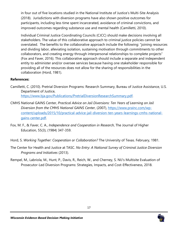in four out of five locations studied in the National Institute of Justice's Multi-Site Analysis (2018). Jurisdictions with diversion programs have also shown positive outcomes for participants, including less time spent incarcerated, avoidance of criminal convictions, and improved outcomes regarding substance use and mental health (Camilletti, 2010).

Individual Criminal Justice Coordinating Councils (CJCC) should make decisions involving all stakeholders. The value of this collaborative approach to criminal justice policies cannot be overstated. The benefits to the collaborative approach include the following: "joining resources and dividing labor, alleviating isolation, sustaining motivation through commitments to other collaborators, and creating energy through interpersonal relationships to complete projects" (Fox and Faver, 2016). This collaborative approach should include a separate and independent entity to administer and/or oversee services because having one stakeholder responsible for providing all of the resources does not allow for the sharing of responsibilities in the collaboration (Hord, 1981).

- Camilletti, C. (2010). Pretrial Diversion Programs: Research Summary, Bureau of Justice Assistance, U.S. Department of Justice, [https://www.bja.gov/Publications/PretrialDiversionResearchSummary.pdf.](https://www.bja.gov/Publications/PretrialDiversionResearchSummary.pdf)
- CMHS National GAINS Center, *Practical Advice on Jail Diversions: Ten Years of Learning on Jail Diversion from the CMHS National GAINS Center*, (2007), [https://www.prainc.com/wp](https://www.prainc.com/wp-content/uploads/2015/10/practical-advice-jail-diversion-ten-years-learnings-cmhs-national-gains-center.pdf)[content/uploads/2015/10/practical-advice-jail-diversion-ten-years-learnings-cmhs-national](https://www.prainc.com/wp-content/uploads/2015/10/practical-advice-jail-diversion-ten-years-learnings-cmhs-national-gains-center.pdf)[gains-center.pdf.](https://www.prainc.com/wp-content/uploads/2015/10/practical-advice-jail-diversion-ten-years-learnings-cmhs-national-gains-center.pdf)
- Fox, M. F., & Faver, C. A., *Independence and Cooperation in Research*, The Journal of Higher Education*,* 55(3), (1984) 347-359.
- Hord, S. *Working Together: Cooperation or Collaboration?* The University of Texas. February, 1981.
- The Center for Health and Justice at TASC. *No Entry: A National Survey of Criminal Justice Diversion Programs and Initiatives* (2013).
- Rempel, M., Labriola, M., Hunt, P., Davis, R., Reich, W., and Cherney, S. NIJ's Multisite Evaluation of Prosecutor-Led Diversion Programs: Strategies, Impacts, and Cost-Effectiveness, 2018.

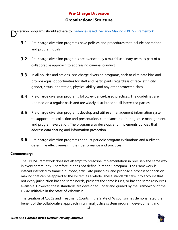# **Pre-Charge Diversion Organizational Structure**

iversion programs should adhere to **Evidence-Based Decision Making (EBDM)** Framework. D

- **3.1** Pre-charge diversion programs have policies and procedures that include operational and program goals.
- **3.2** Pre-charge diversion programs are overseen by a multidisciplinary team as part of a collaborative approach to addressing criminal conduct.
- **3.3** In all policies and actions, pre-charge diversion programs, seek to eliminate bias and provide equal opportunities for staff and participants regardless of race, ethnicity, gender, sexual orientation, physical ability, and any other protected class.
- **3.4** Pre-charge diversion programs follow evidence-based practices. The quidelines are updated on a regular basis and are widely distributed to all interested parties.
- **3.5** Pre-charge diversion programs develop and utilize a management information system to support data collection and presentation, compliance monitoring, case management, and program evaluation. The program also develops and implements policies that address data sharing and information protection.
- **3.6** Pre-charge diversion programs conduct periodic program evaluations and audits to determine effectiveness in their performance and practices.

### **Commentary:**

The EBDM Framework does not attempt to prescribe implementation in precisely the same way in every community. Therefore, it does not define "a model" program. The Framework is instead intended to frame a purpose, articulate principles, and propose a process for decision making that can be applied to the system as a whole. These standards take into account that not every jurisdiction has the same needs, presents the same issues, or has the same resources available. However, these standards are developed under and guided by the Framework of the EBDM Initiative in the State of Wisconsin.

The creation of CJCCs and Treatment Courts in the State of Wisconsin has demonstrated the benefit of the collaborative approach in criminal justice system program development and

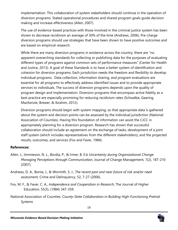implementation. This collaboration of system stakeholders should continue in the operation of diversion programs. Stated operational procedures and shared program goals guide decision making and increase effectiveness (Allen, 2007).

The use of evidence-based practices with those involved in the criminal justice system has been shown to decrease recidivism an average of 30% of the time (Andrews, 2006). Pre-charge diversion programs should use strategies that have been shown to have positive outcomes and are based on empirical research.

While there are many diversion programs in existence across the country, there are "no apparent overarching standards for collecting or publishing data for the purposes of evaluating different types of programs against common sets of performance measures" (Center for Health and Justice, 2013). A goal of these Standards is to have a better system of identification and cohesion for diversion programs. Each jurisdiction needs the freedom and flexibility to develop individual programs. Data collection, information sharing, and program evaluations are essential for all programs to effectively address identified issues and to provide appropriate services to individuals. The success of diversion programs depends upon the quality of program design and implementation. Diversion programs that encompass active fidelity as a best practice are especially promising for reducing recidivism rates (Schwalbe, Gearing, MacKenzie, Brewer, & Ibrahim, 2012).

Diversion programs should begin with system mapping, so that appropriate data is gathered about the system and decision points can be assessed by the individual jurisdiction (National Association of Counties). Having this foundation of information can assist the CJCC in appropriately planning for a diversion program. Research has shown that successful collaboration should include an agreement on the exchange of tasks; development of a joint staff system (which includes representatives from the different stakeholders); and the projected results, outcomes, and services (Fox and Faver, 1984).

- Allen, J., Jimmieson, N. L., Bordia, P., & Irmer, B. E.b *Uncertainty during Organizational Change: Managing Perceptions through Communication*, Journal of Change Management*,* 7(2), 187-210 (2007).
- Andrews, D. A., Bonta, J., & Wormith, S. J., *The recent past and near future of risk and/or need assessment*, Crime and Delinquency, 52, 7-27 (2006).
- Fox, M. F., & Faver, C. A., *Independence and Cooperation in Research*, The Journal of Higher Education*,* 55(3), (1984) 347-359.
- National Association of Counties. *County-State Collaboration in Building High-Functioning Pretrial Systems*

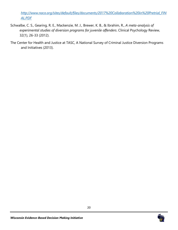*[http://www.naco.org/sites/default/files/documents/2017%20Collaboration%20in%20Pretrial\\_FIN](http://www.naco.org/sites/default/files/documents/2017%20Collaboration%20in%20Pretrial_FINAL.PDF) [AL.PDF](http://www.naco.org/sites/default/files/documents/2017%20Collaboration%20in%20Pretrial_FINAL.PDF)*

- Schwalbe, C. S., Gearing, R. E., Mackenzie, M. J., Brewer, K. B., & Ibrahim, R., *A meta-analysis of experimental studies of diversion programs for juvenile offenders*. Clinical Psychology Review, 32(1), 26-33 (2012).
- The Center for Health and Justice at TASC, A National Survey of Criminal Justice Diversion Programs and Initiatives (2013).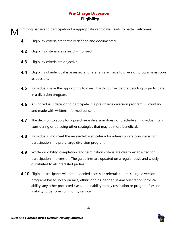# **Pre-Charge Diversion Eligibility**

inimizing barriers to participation for appropriate candidates leads to better outcomes. M

- **4.1** Eligibility criteria are formally defined and documented.
- **4.2** Eligibility criteria are research-informed.
- **4.3** Eligibility criteria are objective.
- **4.4** Eligibility of individual is assessed and referrals are made to diversion programs as soon as possible.
- **4.5** Individuals have the opportunity to consult with counsel before deciding to participate in a diversion program.
- **4.6** An individual's decision to participate in a pre-charge diversion program is voluntary and made with written, informed consent.
- **4.7** The decision to apply for a pre-charge diversion does not preclude an individual from considering or pursuing other strategies that may be more beneficial.
- **4.8** Individuals who meet the research-based criteria for admission are considered for participation in a pre-charge diversion program.
- **4.9** Written eligibility, completion, and termination criteria are clearly established for participation in diversion. The guidelines are updated on a regular basis and widely distributed to all interested parties.
- **4.10** Eligible participants will not be denied access or referrals to pre-charge diversion programs based solely on race, ethnic origins, gender, sexual orientation, physical ability, any other protected class, and inability to pay restitution or program fees, or inability to perform community service.

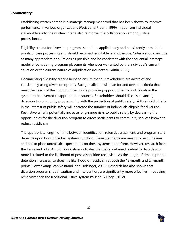### **Commentary:**

Establishing written criteria is a strategic management tool that has been shown to improve performance in various organizations (Weiss and Piderit, 1999). Input from individual stakeholders into the written criteria also reinforces the collaboration among justice professionals.

Eligibility criteria for diversion programs should be applied early and consistently at multiple points of case processing and should be broad, equitable, and objective. Criteria should include as many appropriate populations as possible and be consistent with the sequential intercept model of considering program placements whenever warranted by the individual's current situation or the current nature of adjudication (Munetz & Griffin, 2006).

Documenting eligibility criteria helps to ensure that all stakeholders are aware of and consistently using diversion options. Each jurisdiction will plan for and develop criteria that meet the needs of their communities, while providing opportunities for individuals in the system to be diverted to appropriate resources. Stakeholders should discuss balancing diversion to community programming with the protection of public safety. A threshold criteria in the interest of public safety will decrease the number of individuals eligible for diversion. Restrictive criteria potentially increase long-range risks to public safety by decreasing the opportunities for the diversion program to direct participants to community services known to reduce recidivism.

The appropriate length of time between identification, referral, assessment, and program start depends upon how individual systems function. These Standards are meant to be guidelines and not to place unrealistic expectations on those systems to perform. However, research from the Laura and John Arnold Foundation indicates that being detained pretrial for two days or more is related to the likelihood of post-disposition recidivism. As the length of time in pretrial detention increases, so does the likelihood of recidivism at both the 12-month and 24-month points (Lowenkamp, VanNostrand, and Holsinger, 2013). Research has also shown that diversion programs, both caution and intervention, are significantly more effective in reducing recidivism than the traditional justice system (Wilson & Hoge, 2012).

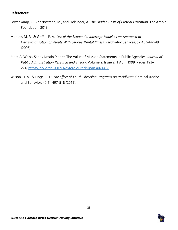- Lowenkamp, C., VanNostrand, M., and Holsinger, A. *The Hidden Costs of Pretrial Detention.* The Arnold Foundation, 2013.
- Munetz, M. R., & Griffin, P. A., *Use of the Sequential Intercept Model as an Approach to Decriminalization of People With Serious Mental Illness.* Psychiatric Services, 57(4), 544-549 (2006).
- Janet A. Weiss, Sandy Kristin Piderit; The Value of Mission Statements in Public Agencies, *Journal of Public Administration Research and Theory*, Volume 9, Issue 2, 1 April 1999, Pages 193– 224, <https://doi.org/10.1093/oxfordjournals.jpart.a024408>
- Wilson, H. A., & Hoge, R. D. *The Effect of Youth Diversion Programs on Recidivism*. Criminal Justice and Behavior, 40(5), 497-518 (2012).

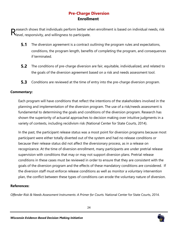# **Pre-Charge Diversion Enrollment**

esearch shows that individuals perform better when enrollment is based on individual needs, risk Research shows that individuals perform better where the individuals perform better where  $\mathsf R$ 

- **5.1** The diversion agreement is a contract outlining the program rules and expectations, conditions, the program length, benefits of completing the program, and consequences if terminated.
- **5.2** The conditions of pre-charge diversion are fair, equitable, individualized, and related to the goals of the diversion agreement based on a risk and needs assessment tool.
- **5.3** Conditions are reviewed at the time of entry into the pre-charge diversion program.

### **Commentary:**

Each program will have conditions that reflect the intentions of the stakeholders involved in the planning and implementation of the diversion program. The use of a risk/needs assessment is fundamental to determining the goals and conditions of the diversion program. Research has shown the superiority of actuarial approaches to decision making over intuitive judgments in a variety of contexts, including recidivism risk (National Center for State Courts, 2014).

In the past, the participant release status was a moot point for diversion programs because most participant were either totally diverted out of the system and had no release conditions or because their release status did not affect the diversionary process, as in a release on recognizance. At the time of diversion enrollment, many participants are under pretrial release supervision with conditions that may or may not support diversion plans. Pretrial release conditions in these cases must be reviewed in order to ensure that they are consistent with the goals of the diversion program and the effects of these mandatory conditions are considered. If the diversion staff must enforce release conditions as well as monitor a voluntary intervention plan, the conflict between these types of conditions can erode the voluntary nature of diversion.

### **References:**

*Offender Risk & Needs Assessment Instruments: A Primer for Courts.* National Center for State Courts, 2014.

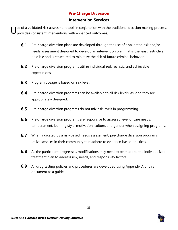# **Pre-Charge Diversion**

# **Intervention Services**

se of a validated risk assessment tool, in conjunction with the traditional decision making process, provides consistent interventions with enhanced outcomes. U

- **6.1** Pre-charge diversion plans are developed through the use of a validated risk and/or needs assessment designed to develop an intervention plan that is the least restrictive possible and is structured to minimize the risk of future criminal behavior.
- **6.2** Pre-charge diversion programs utilize individualized, realistic, and achievable expectations.
- **6.3** Program dosage is based on risk level.
- **6.4** Pre-charge diversion programs can be available to all risk levels, as long they are appropriately designed.
- **6.5** Pre-charge diversion programs do not mix risk levels in programming.
- **6.6** Pre-charge diversion programs are responsive to assessed level of care needs, temperament, learning style, motivation, culture, and gender when assigning programs.
- **6.7** When indicated by a risk-based needs assessment, pre-charge diversion programs utilize services in their community that adhere to evidence-based practices.
- **6.8** As the participant progresses, modifications may need to be made to the individualized treatment plan to address risk, needs, and responsivity factors.
- **6.9** All drug testing policies and procedures are developed using Appendix A of this document as a guide.

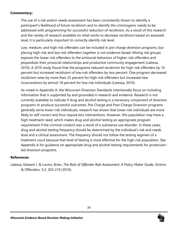### **Commentary:**

The use of a risk and/or needs assessment has been consistently shown to identify a participant's likelihood of future recidivism and to identify the criminogenic needs to be addressed with programming for successful reduction of recidivism. As a result of this research and the variety of research available on what works to decrease recidivism based on assessed level, it is particularly important to correctly identify risk level.

Low, medium, and high-risk offenders can be included in pre-charge diversion programs, but placing high-risk and low-risk offenders together is not evidence-based. Mixing risk groups exposes the lower-risk offenders to the antisocial behaviors of higher-risk offenders and jeopardizes their prosocial relationships and productive community engagement (Latessa, 2010). A 2010 study found that the programs reduced recidivism for high-risk offenders by 10 percent but increased recidivism of low-risk offenders by two percent. One program decreased recidivism rates by more than 25 percent for high-risk offenders but increased new incarcerations by almost 18 percent for low-risk individuals (Latessa, 2010).

As noted in Appendix A, the Wisconsin Diversion Standards intentionally focus on including information that is supported by and grounded in research and evidence. Research is not currently available to indicate if drug and alcohol testing is a necessary component of diversion programs to produce successful outcomes. Pre-Charge and Post-Charge Diversion programs generally serve lower-risk individuals; research has shown that lower-risk individuals are more likely to self-correct and thus require less interventions. However, this population may have a high treatment need, which makes drug and alcohol testing an appropriate program requirement if the criminal conduct was a result of a substance use disorder. In these cases, drug and alcohol testing frequency should be determined by the individual's risk and needs level and a clinical assessment. The frequency should not follow the testing regimen of a treatment court because that level of testing is most effective for the high-risk population. See Appendix A for guidance on appropriate drug and alcohol testing requirements for prosecutorled diversion programs.

### **References:**

Latessa, Edward J. & Lovins, Brian, *The Role of Offender Risk Assessment: A Policy Maker Guide*, Victims & Offenders, 5:3, 203-219 (2010).

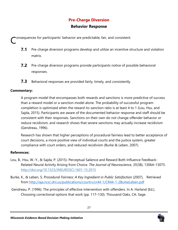# **Pre-Charge Diversion**

# **Behavior Response**

onsequences for participants' behavior are predictable, fair, and consistent. C

- **7.1** Pre-charge diversion programs develop and utilize an incentive structure and violation matrix.
- **7.2** Pre-charge diversion programs provide participants notice of possible behavioral responses.
- **7.3** Behavioral responses are provided fairly, timely, and consistently.

### **Commentary:**

A program model that encompasses both rewards and sanctions is more predictive of success than a reward model or a sanction model alone. The probability of successful program completion is optimized when the reward-to-sanction ratio is at least 4 to 1 (Lou, Hsu, and Sajda, 2015). Participants are aware of the documented behavior response and staff should be consistent with their responses. Sanctions on their own do not change offender behavior or reduce recidivism, and research shows that severe sanctions may actually increase recidivism (Gendreau, 1996).

Research has shown that higher perceptions of procedural fairness lead to better acceptance of court decisions, a more positive view of individual courts and the justice system, greater compliance with court orders, and reduced recidivism (Burke & Leben, 2007).

- Lou, B., Hsu, W.-Y., & Sajda, P. (2015). Perceptual Salience and Reward Both Influence Feedback-Related Neural Activity Arising from Choice. *The Journal of Neuroscience*, *35*(38), 13064–13075. <http://doi.org/10.1523/JNEUROSCI.1601-15.2015>
- Burke, K., & Leben, S. *Procedural Fairness: A Key Ingredient in Public Satisfaction* (2007), Retrieved from <http://aja.ncsc.dni.us/publications/courtrv/cr44-1/CR44-1-2BurkeLeben.pdf>
- Gendreau, P. (1996). The principles of effective intervention with offenders. In A. Harland (Ed.), Choosing correctional options that work (pp. 117–130). Thousand Oaks, CA: Sage.

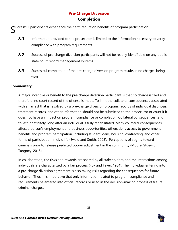# **Pre-Charge Diversion Completion**

uccessful participants experience the harm reduction benefits of program participation. S

- **8.1** Information provided to the prosecutor is limited to the information necessary to verify compliance with program requirements.
- **8.2** Successful pre-charge diversion participants will not be readily identifiable on any public state court record management systems.
- **8.3** Successful completion of the pre-charge diversion program results in no charges being filed.

# **Commentary:**

A major incentive or benefit to the pre-charge diversion participant is that no charge is filed and, therefore, no court record of the offense is made. To limit the collateral consequences associated with an arrest that is resolved by a pre-charge diversion program, records of individual diagnosis, treatment records, and other information should not be submitted to the prosecutor or court if it does not have an impact on program compliance or completion. Collateral consequences tend to last indefinitely, long after an individual is fully rehabilitated. Many collateral consequences affect a person's employment and business opportunities; others deny access to government benefits and program participation, including student loans, housing, contracting, and other forms of participation in civic life (Ewald and Smith, 2008). Perceptions of stigma toward criminals prior to release predicted poorer adjustment in the community (Moore, Stuewig, Tangney, 2015).

In collaboration, the risks and rewards are shared by all stakeholders, and the interactions among individuals are characterized by a fair process (Fox and Faver, 1984). The individual entering into a pre-charge diversion agreement is also taking risks regarding the consequences for future behavior. Thus, it is imperative that only information related to program compliance and requirements be entered into official records or used in the decision-making process of future criminal charges.

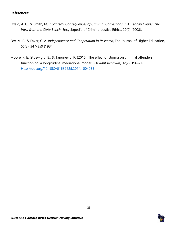- Ewald, A. C., & Smith, M., *Collateral Consequences of Criminal Convictions in American Courts: The View from the State Bench*, Encyclopedia of Criminal Justice Ethics, 2*9*(2) (2008).
- Fox, M. F., & Faver, C. A. *Independence and Cooperation in Research*, The Journal of Higher Education, 55(3), 347-359 (1984).
- Moore, K. E., Stuewig, J. B., & Tangney, J. P. (2016). The effect of stigma on criminal offenders' functioning: a longitudinal mediational model\*. *Deviant Behavior*, *37*(2), 196–218. [Http://doi.org/10.1080/01639625.2014.1004035](http://doi.org/10.1080/01639625.2014.1004035)

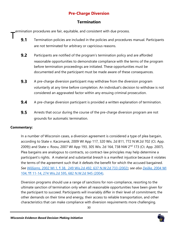# **Pre-Charge Diversion**

# **Termination**

ermination procedures are fair, equitable, and consistent with due process. T

- **9.1** Termination policies are included in the policies and procedures manual. Participants are not terminated for arbitrary or capricious reasons.
- **9.2** Participants are notified of the program's termination policy and are afforded reasonable opportunities to demonstrate compliance with the terms of the program before termination proceedings are initiated. These opportunities must be documented and the participant must be made aware of these consequences.
- **9.3** A pre-charge diversion participant may withdraw from the diversion program voluntarily at any time before completion. An individual's decision to withdraw is not considered an aggravated factor within any ensuing criminal prosecution.
- **9.4** A pre-charge diversion participant is provided a written explanation of termination.
- **9.5** Arrests that occur during the course of the pre-charge diversion program are not grounds for automatic termination.

# **Commentary:**

In a number of Wisconsin cases, a diversion agreement is considered a type of plea bargain, according to State v. Kaczmarsk, 2009 WI App 117, 320 Wis. 2d 811, 772 N.W.2d 702 (Ct. App. 2009)) and State v. Roou, 2007 WI App 193, 305 Wis. 2d 164, 738 NW 2nd 173 (Ct. App. 2007). Plea bargains are analogous to contracts, so contract-law principles may help determine a participant's rights. A material and substantial *breach* is a manifest injustice because it violates the terms of the agreement such that it defeats the benefit for which the accused bargained. *See Williams,* [2002 WI 1, ¶ 38, 249 Wis.2d 492, 637 N.W.2d 733](https://scholar.google.com/scholar_case?case=1508187328880363085&q=State+v.+Kaczmarski&hl=en&as_sdt=6,50&as_vis=1) (2002); *see also Deilke,* [2004 WI](https://scholar.google.com/scholar_case?case=2641806646889683839&q=State+v.+Kaczmarski&hl=en&as_sdt=6,50&as_vis=1)  [104, ¶¶ 11-14, 274 Wis.2d 595, 682 N.W.2d 945](https://scholar.google.com/scholar_case?case=2641806646889683839&q=State+v.+Kaczmarski&hl=en&as_sdt=6,50&as_vis=1) (2004).

Diversion programs should use a range of sanctions for non-compliance, resorting to the ultimate sanction of termination only when all reasonable opportunities have been given for the participant to succeed. Participants will invariably differ in their level of commitment, the other demands on their time and energy, their access to reliable transportation, and other characteristics that can make compliance with diversion requirements more challenging.

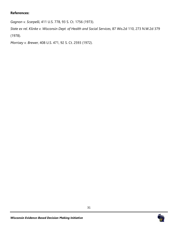### **References:**

*Gagnon v. Scarpelli*, 411 U.S. 778, 93 S. Ct. 1756 (1973).

*State ex rel. Klinke v. Wisconsin Dept. of Health and Social Services*, 87 Wis.2d 110, 273 N.W.2d 379 (1978).

*Morrisey v. Brewer*, 408 U.S. 471, 92 S. Ct. 2593 (1972).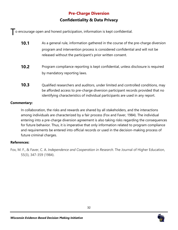# **Pre-Charge Diversion Confidentiality & Data Privacy**

To encourage open and honest participation, information is kept confidential.

- **10.1** As a general rule, information gathered in the course of the pre-charge diversion program and intervention process is considered confidential and will not be released without the participant's prior written consent.
- **10.2** Program compliance reporting is kept confidential, unless disclosure is required by mandatory reporting laws.
- **10.3** Qualified researchers and auditors, under limited and controlled conditions, may be afforded access to pre-charge diversion participant records provided that no identifying characteristics of individual participants are used in any report.

### **Commentary:**

In collaboration, the risks and rewards are shared by all stakeholders, and the interactions among individuals are characterized by a fair process (Fox and Faver, 1984). The individual entering into a pre-charge diversion agreement is also taking risks regarding the consequences for future behavior. Thus, it is imperative that only information related to program compliance and requirements be entered into official records or used in the decision-making process of future criminal charges.

### **References:**

Fox, M. F., & Faver, C. A. *Independence and Cooperation in Research.* The Journal of Higher Education, 55(3), 347-359 (1984).

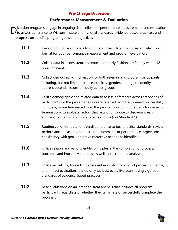# **Pre-Charge Diversion**

# **Performance Measurement & Evaluation**

iversion programs engage in ongoing data collection, performance measurement, and evaluation to assess adherence to Wisconsin state and national standards, evidence-based practices, and progress on specific program goals and objectives. D

- **11.1** Develop or utilize a process to routinely collect data in a consistent, electronic format for both performance measurement and program evaluation.
- **11.2** Collect data in a consistent, accurate, and timely fashion, preferably within 48 hours of events.
- **11.3** Collect demographic information for both referrals and program participants including, but not limited to, race/ethnicity, gender, and age to identify and address potential issues of equity across groups.
- **11.4** Utilize demographic and related data to assess differences across categories of participants for the percentage who are referred, admitted, denied, successfully complete, or are terminated from the program (including the basis for denial or termination), to evaluate factors that might contribute to discrepancies in admission or termination rates across groups (see Standard 1).
- **11.5** Routinely monitor data for overall adherence to best practice standards, review performance measures, compare to benchmarks or performance targets, ensure consistency with goals, and take corrective actions as identified.
- **11.6** Utilize reliable and valid scientific principles in the completion of process, outcome, and impact evaluations, as well as cost-benefit analyses.
- **11.7** Utilize an outside, trained, independent evaluator to conduct process, outcome, and impact evaluations periodically (at least every five years) using vigorous standards of evidence-based practices.
- **11.8** Base evaluations on an intent-to-treat analysis that includes all program participants regardless of whether they terminate or successfully complete the program.

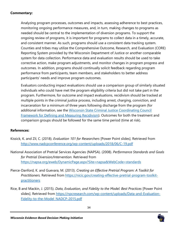### **Commentary:**

Analyzing program processes, outcomes and impacts, assessing adherence to best practices, monitoring ongoing performance measures, and, in turn, making changes to programs as needed should be central to the implementation of diversion programs. To support the ongoing review of programs, it is important for programs to collect data in a timely, accurate, and consistent manner. As such, programs should use a consistent data tracking system. Counties and tribes may utilize the Comprehensive Outcome, Research, and Evaluation (CORE) Reporting System provided by the Wisconsin Department of Justice or another comparable system for data collection. Performance data and evaluation results should be used to take corrective action, make program adjustments, and monitor changes in program progress and outcomes. In addition, programs should continually solicit feedback regarding program performance from participants, team members, and stakeholders to better address participants' needs and improve program outcomes.

Evaluators conducting impact evaluations should use a comparison group of similarly situated individuals who could have met the program eligibility criteria but did not take part in the program. Furthermore, for outcome and impact evaluations, recidivism should be tracked at multiple points in the criminal justice process, including arrest, charging, conviction, and incarceration for a minimum of three years following discharge from the program (for additional information, see the [Wisconsin State Criminal Justice Coordinating Council](https://cjcc.doj.wi.gov/files/framework-defining-and-measuring-recidivism-revised-july-2016docx)  [Framework for Defining and Measuring Recidivism\)](https://cjcc.doj.wi.gov/files/framework-defining-and-measuring-recidivism-revised-july-2016docx). Outcomes for both the treatment and comparison groups should be followed for the same time period (time at risk).

- Kissick, K. and Zil, C. (2018). *Evaluation 101 for Researchers* [Power Point slides]. Retrieved from <http://www.nadcpconference.org/wp-content/uploads/2018/06/C-19.pdf>
- National Association of Pretrial Services Agencies (NAPSA). (2008). *Performance Standards and Goals for Pretrial Diversion/Intervention*. Retrieved from <https://napsa.org/eweb/DynamicPage.aspx?Site=napsa&WebCode=standards>
- Pierce-Danford, K. and Guevara, M. (2013). *Creating an Effective Pretrial Program: A Toolkit for Practitioners.* Retrieved from [https://nicic.gov/creating-effective-pretrial-program-toolkit](https://nicic.gov/creating-effective-pretrial-program-toolkit-practitioners)**[practitioners](https://nicic.gov/creating-effective-pretrial-program-toolkit-practitioners)**
- Rice, B and Mackin, J. (2015). *Data, Evaluation, and Fidelity to the Model: Best Practices* [Power Point slides]. Retrieved from [https://npcresearch.com/wp-content/uploads/Data-and-Evaluation-](https://npcresearch.com/wp-content/uploads/Data-and-Evaluation-Fidelity-to-the-Model_NADCP-2015.pdf)[Fidelity-to-the-Model\\_NADCP-2015.pdf](https://npcresearch.com/wp-content/uploads/Data-and-Evaluation-Fidelity-to-the-Model_NADCP-2015.pdf)

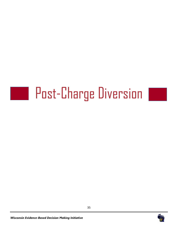# Post-Charge Diversion **Maria**

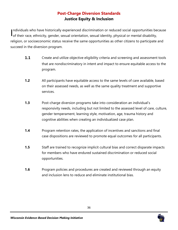# **Post-Charge Diversion Standards Justice Equity & Inclusion**

ndividuals who have historically experienced discrimination or reduced social opportunities because Individuals who have historically experienced discrimination or reduced social opportunities been of their race, ethnicity, gender, sexual orientation, sexual identity, physical or mental disability, religion, or socioeconomic status receive the same opportunities as other citizens to participate and succeed in the diversion program.

- **1.1** Create and utilize objective eligibility criteria and screening and assessment tools that are nondiscriminatory in intent and impact to ensure equitable access to the program.
- **1.2** All participants have equitable access to the same levels of care available, based on their assessed needs, as well as the same quality treatment and supportive services.
- **1.3** Post-charge diversion programs take into consideration an individual's responsivity needs, including but not limited to the assessed level of care, culture, gender temperament, learning style, motivation, age, trauma history and cognitive abilities when creating an individualized case plan.
- **1.4** Program retention rates, the application of incentives and sanctions and final case dispositions are reviewed to promote equal outcomes for all participants.
- **1.5** Staff are trained to recognize implicit cultural bias and correct disparate impacts for members who have endured sustained discrimination or reduced social opportunities.
- **1.6** Program policies and procedures are created and reviewed through an equity and inclusion lens to reduce and eliminate institutional bias.

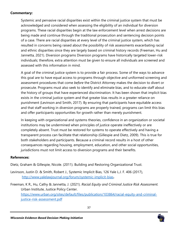### **Commentary:**

Systemic and pervasive racial disparities exist within the criminal justice system that must be acknowledged and considered when assessing the eligibility of an individual for diversion programs. These racial disparities begin at the law enforcement level when arrest decisions are being made and continue through the traditional prosecution and sentencing decision points of a case. There are racial disparities at every level of the criminal justice system, which has resulted in concerns being raised about the possibility of risk assessments exacerbating racial and ethnic disparities since they are largely based on criminal history records (Freeman, Hu and Jannetta, 2021). Diversion programs Diversion programs have historically targeted lower-risk individuals; therefore, extra attention must be given to ensure all individuals are screened and assessed with this information in mind.

A goal of the criminal justice system is to provide a fair process. Some of the ways to advance this goal are to have equal access to programs through objective and uniformed screening and assessment procedures that come *before* the District Attorney makes the decision to divert or prosecute. Programs must also seek to identify and eliminate bias, and to educate staff about the history of groups that have experienced discrimination. It has been shown that implicit bias exists in the criminal justice system and that greater bias results in a greater reliance on punishment (Levinson and Smith, 2017). By ensuring that participants have equitable access and that staff working in diversion programs are properly trained, programs can limit this bias and offer participants opportunities for growth rather than merely punishment.

In keeping with organizational and systems theories, confidence in an organization or societal institutions may be undermined when principles of justice operate ineffectively or are completely absent. Trust must be restored for systems to operate effectively and having a transparent process can facilitate that relationship (Gillespie and Dietz, 2009). This is true for both stakeholders and participants. Because a criminal record results in a host of other consequences regarding housing, employment, education, and other social opportunities, jurisdictions must not limit access to diversion programs and their benefits.

### **References:**

Dietz, Graham & Gillespie, Nicole. (2011). Building and Restoring Organizational Trust.

Levinson, Justin D. & Smith, Robert J., Systemic Implicit Bias, 126 Yale L.J. F. 406 (2017), <http://www.yalelawjournal.org/forum/systemic-implicit-bias>**.**

Freeman, K R., Hu, Cathy & Jannetta, J. (2021). *Racial Equity and Criminal Justice Risk Assessment.* Urban Institute, Justice Policy Center. [https://www.urban.org/sites/default/files/publication/103864/racial-equity-and-criminal](https://www.urban.org/sites/default/files/publication/103864/racial-equity-and-criminal-justice-risk-assessment.pdf)[justice-risk-assessment.pdf](https://www.urban.org/sites/default/files/publication/103864/racial-equity-and-criminal-justice-risk-assessment.pdf)

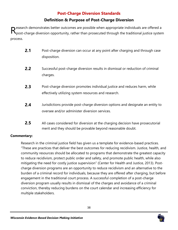# **Post-Charge Diversion Standards**

# **Definition & Purpose of Post-Charge Diversion**

Research demonstrates better outcomes are possible when appropriate individuals are offered a post-charge diversion opportunity, rather than prosecuted through the traditional justice system post-charge diversion opportunity, rather than prosecuted through the traditional justice system process.

- **2.1** Post-charge diversion can occur at any point after charging and through case disposition.
- **2.2** Successful post-charge diversion results in dismissal or reduction of criminal charges.
- **2.3** Post-charge diversion promotes individual justice and reduces harm, while effectively utilizing system resources and research.
- **2.4** Jurisdictions provide post-charge diversion options and designate an entity to oversee and/or administer diversion services.
- **2.5** All cases considered for diversion at the charging decision have prosecutorial merit and they should be provable beyond reasonable doubt.

# **Commentary:**

Research in the criminal justice field has given us a template for evidence-based practices. "These are practices that deliver the best outcomes for reducing recidivism. Justice, health, and community resources should be allocated to programs that demonstrate the greatest capacity to reduce recidivism, protect public order and safety, and promote public health, while also mitigating the need for costly justice supervision" (Center for Health and Justice, 2013). Postcharge diversion programs are an opportunity to reduce recidivism and an alternative to the burden of a criminal record for individuals, because they are offered after charging, but before engagement in the traditional court process. A successful completion of a post-charge diversion program usually results in dismissal of the charges and avoidance of a criminal conviction, thereby reducing burdens on the court calendar and increasing efficiency for multiple stakeholders.

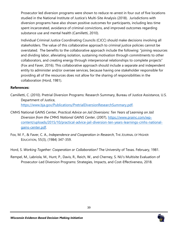Prosecutor led diversion programs were shown to reduce re-arrest in four out of five locations studied in the National Institute of Justice's Multi-Site Analysis (2018). Jurisdictions with diversion programs have also shown positive outcomes for participants, including less time spent incarcerated, avoidance of criminal convictions, and improved outcomes regarding substance use and mental health (Camilletti, 2010).

Individual Criminal Justice Coordinating Councils (CJCC) should make decisions involving all stakeholders. The value of this collaborative approach to criminal justice policies cannot be overstated. The benefits to the collaborative approach include the following: "joining resources and dividing labor, alleviating isolation, sustaining motivation through commitments to other collaborators, and creating energy through interpersonal relationships to complete projects" (Fox and Faver, 2016). This collaborative approach should include a separate and independent entity to administer and/or oversee services, because having one stakeholder responsible for providing all of the resources does not allow for the sharing of responsibilities in the collaboration (Hord, 1981).

- Camilletti, C. (2010). Pretrial Diversion Programs: Research Summary, Bureau of Justice Assistance, U.S. Department of Justice, [https://www.bja.gov/Publications/PretrialDiversionResearchSummary.pdf.](https://www.bja.gov/Publications/PretrialDiversionResearchSummary.pdf)
- CMHS National GAINS Center, *Practical Advice on Jail Diversions: Ten Years of Learning on Jail Diversion from the CMHS National GAINS Center*, (2007), [https://www.prainc.com/wp](https://www.prainc.com/wp-content/uploads/2015/10/practical-advice-jail-diversion-ten-years-learnings-cmhs-national-gains-center.pdf)[content/uploads/2015/10/practical-advice-jail-diversion-ten-years-learnings-cmhs-national](https://www.prainc.com/wp-content/uploads/2015/10/practical-advice-jail-diversion-ten-years-learnings-cmhs-national-gains-center.pdf)[gains-center.pdf.](https://www.prainc.com/wp-content/uploads/2015/10/practical-advice-jail-diversion-ten-years-learnings-cmhs-national-gains-center.pdf)
- Fox, M. F., & Faver, C. A., *Independence and Cooperation in Research*, THE JOURNAL OF HIGHER EDUCATION*,* 55(3), (1984) 347-359.
- Hord, S. *Working Together: Cooperation or Collaboration?* The University of Texas. February, 1981.
- Rempel, M., Labriola, M., Hunt, P., Davis, R., Reich, W., and Cherney, S. NIJ's Multisite Evaluation of Prosecutor-Led Diversion Programs: Strategies, Impacts, and Cost-Effectiveness, 2018.

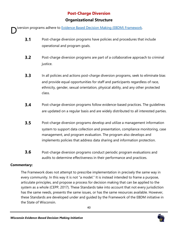# **Post-Charge Diversion**

# **Organizational Structure**

iversion programs adhere to [Evidence Based Decision Making \(EBDM\) Framework.](http://ebdmoneless.org/framework/) D

- **3.1** Post-charge diversion programs have policies and procedures that include operational and program goals.
- **3.2** Post-charge diversion programs are part of a collaborative approach to criminal justice.
- **3.3** In all policies and actions post-charge diversion programs, seek to eliminate bias and provide equal opportunities for staff and participants regardless of race, ethnicity, gender, sexual orientation, physical ability, and any other protected class.
- **3.4** Post-charge diversion programs follow evidence-based practices. The guidelines are updated on a regular basis and are widely distributed to all interested parties.
- **3.5** Post-charge diversion programs develop and utilize a management information system to support data collection and presentation, compliance monitoring, case management, and program evaluation. The program also develops and implements policies that address data sharing and information protection.
- **3.6** Post-charge diversion programs conduct periodic program evaluations and audits to determine effectiveness in their performance and practices.

### **Commentary:**

The Framework does not attempt to prescribe implementation in precisely the same way in every community. In this way it is not "a model." It is instead intended to frame a purpose, articulate principles, and propose a process for decision making that can be applied to the system as a whole (CEPP, 2017). These Standards take into account that not every jurisdiction has the same needs, presents the same issues, or has the same resources available. However, these Standards are developed under and guided by the Framework of the EBDM initiative in the State of Wisconsin.

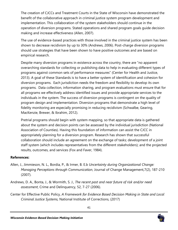The creation of CJCCs and Treatment Courts in the State of Wisconsin have demonstrated the benefit of the collaborative approach in criminal justice system program development and implementation. This collaboration of the system stakeholders should continue in the operation of diversion programs. Stated operations and shared program goals guide decision making and increase effectiveness (Allen, 2007).

The use of evidence-based practices with those involved in the criminal justice system has been shown to decrease recidivism by up to 30% (Andrews, 2006). Post-charge diversion programs should use strategies that have been shown to have positive outcomes and are based on empirical research.

Despite many diversion programs in existence across the country, there are "no apparent overarching standards for collecting or publishing data to help in evaluating different types of programs against common sets of performance measures" (Center for Health and Justice, 2013). A goal of these Standards is to have a better system of identification and cohesion for diversion programs. Each jurisdiction needs the freedom and flexibility to develop its own programs. Data collection, information sharing, and program evaluations must ensure that for all programs we effectively address identified issues and provide appropriate services to the individuals in the system. The success of diversion programs is contingent on the quality of program design and implementation. Diversion programs that demonstrate a high level of fidelity monitoring are especially promising in reducing recidivism (Schwalbe, Gearing, MacKenzie, Brewer, & Ibrahim, 2012).

Pretrial programs should begin with system mapping, so that appropriate data is gathered about the system and decision points can be assessed by the individual jurisdiction (National Association of Counties). Having this foundation of information can assist the CJCC in appropriately planning for a diversion program. Research has shown that successful collaboration should include an agreement on the exchange of tasks; development of a joint staff system (which includes representatives from the different stakeholders); and the projected results, outcomes, and services (Fox and Faver, 1984).

- Allen, J., Jimmieson, N. L., Bordia, P., & Irmer, B. E.b *Uncertainty during Organizational Change: Managing Perceptions through Communication*, Journal of Change Management*,*7(2), 187-210 (2007).
- Andrews, D. A., Bonta, J., & Wormith, S. J., *The recent past and near future of risk and/or need assessment*, Crime and Delinquency, 52, 7-27 (2006).
- Center for Effective Public Policy, *A Framework for Evidence Based Decision Making in State and Local Criminal Justice Systems,* National Institute of Corrections, (2017)

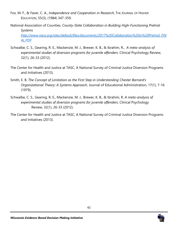- Fox, M. F., & Faver, C. A., *Independence and Cooperation in Research*, THE JOURNAL OF HIGHER EDUCATION*,* 55(3), (1984) 347-359.
- National Association of Counties. *County-State Collaboration in Building High-Functioning Pretrial Systems [http://www.naco.org/sites/default/files/documents/2017%20Collaboration%20in%20Pretrial\\_FIN](http://www.naco.org/sites/default/files/documents/2017%20Collaboration%20in%20Pretrial_FINAL.PDF) [AL.PDF](http://www.naco.org/sites/default/files/documents/2017%20Collaboration%20in%20Pretrial_FINAL.PDF)*
- Schwalbe, C. S., Gearing, R. E., Mackenzie, M. J., Brewer, K. B., & Ibrahim, R., *A meta-analysis of experimental studies of diversion programs for juvenile offenders*. Clinical Psychology Review, 32(1), 26-33 (2012).
- The Center for Health and Justice at TASC, A National Survey of Criminal Justice Diversion Programs and Initiatives (2013).
- Smith, E. B. *The Concept of Limitation as the First Step in Understanding Chester Barnard's Organizational Theory: A Systems Approach*, Journal of Educational Administration, 17(1), 7-16 (1979).
- Schwalbe, C. S., Gearing, R. E., Mackenzie, M. J., Brewer, K. B., & Ibrahim, R. *A meta-analysis of experimental studies of diversion programs for juvenile offenders*, Clinical Psychology Review, 32(1), 26-33 (2012).
- The Center for Health and Justice at TASC, A National Survey of Criminal Justice Diversion Programs and Initiatives (2013).

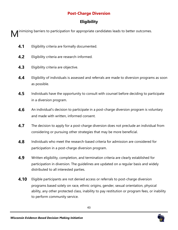# **Post-Charge Diversion**

# **Eligibility**

inimizing barriers to participation for appropriate candidates leads to better outcomes. M

- **4.1** Eligibility criteria are formally documented.
- **4.2** Eligibility criteria are research-informed.
- **4.3** Eligibility criteria are objective.
- **4.4** Eligibility of individuals is assessed and referrals are made to diversion programs as soon as possible.
- **4.5** Individuals have the opportunity to consult with counsel before deciding to participate in a diversion program.
- **4.6** An individual's decision to participate in a post-charge diversion program is voluntary and made with written, informed consent.
- **4.7** The decision to apply for a post-charge diversion does not preclude an individual from considering or pursuing other strategies that may be more beneficial.
- **4.8** Individuals who meet the research-based criteria for admission are considered for participation in a post-charge diversion program.
- **4.9** Written eligibility, completion, and termination criteria are clearly established for participation in diversion. The guidelines are updated on a regular basis and widely distributed to all interested parties.
- **4.10** Eligible participants are not denied access or referrals to post-charge diversion programs based solely on race, ethnic origins, gender, sexual orientation, physical ability, any other protected class, inability to pay restitution or program fees, or inability to perform community service.

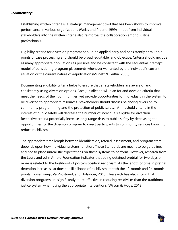### **Commentary:**

Establishing written criteria is a strategic management tool that has been shown to improve performance in various organizations (Weiss and Piderit, 1999). Input from individual stakeholders into the written criteria also reinforces the collaboration among justice professionals.

Eligibility criteria for diversion programs should be applied early and consistently at multiple points of case processing and should be broad, equitable, and objective. Criteria should include as many appropriate populations as possible and be consistent with the sequential intercept model of considering program placements whenever warranted by the individual's current situation or the current nature of adjudication (Munetz & Griffin, 2006).

Documenting eligibility criteria helps to ensure that all stakeholders are aware of and consistently using diversion options. Each jurisdiction will plan for and develop criteria that meet the needs of their communities, yet provide opportunities for individuals in the system to be diverted to appropriate resources. Stakeholders should discuss balancing diversion to community programming and the protection of public safety. A threshold criteria in the interest of public safety will decrease the number of individuals eligible for diversion. Restrictive criteria potentially increase long-range risks to public safety by decreasing the opportunities for the diversion program to direct participants to community services known to reduce recidivism.

The appropriate time length between identification, referral, assessment, and program start depends upon how individual systems function. These Standards are meant to be guidelines and not to place unrealistic expectations on those systems to perform. However, research from the Laura and John Arnold Foundation indicates that being detained pretrial for two days or more is related to the likelihood of post-disposition recidivism. As the length of time in pretrial detention increases, so does the likelihood of recidivism at both the 12-month and 24-month points (Lowenkamp, VanNostrand, and Holsinger, 2013). Research has also shown that diversion programs are significantly more effective in reducing recidivism than the traditional justice system when using the appropriate interventions (Wilson & Hoge, 2012).

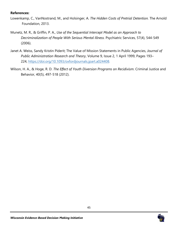- Lowenkamp, C., VanNostrand, M., and Holsinger, A. *The Hidden Costs of Pretrial Detention.* The Arnold Foundation, 2013.
- Munetz, M. R., & Griffin, P. A., *Use of the Sequential Intercept Model as an Approach to Decriminalization of People With Serious Mental Illness.* Psychiatric Services, 57(4), 544-549 (2006).
- Janet A. Weiss, Sandy Kristin Piderit; The Value of Mission Statements in Public Agencies, *Journal of Public Administration Research and Theory*, Volume 9, Issue 2, 1 April 1999, Pages 193– 224, [https://doi.org/10.1093/oxfordjournals.jpart.a024408.](https://doi.org/10.1093/oxfordjournals.jpart.a024408)
- Wilson, H. A., & Hoge, R. D. *The Effect of Youth Diversion Programs on Recidivism*. Criminal Justice and Behavior, 40(5), 497-518 (2012).

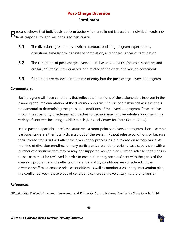# **Post-Charge Diversion Enrollment**

 $\mathbf D$  esearch shows that individuals perform better when enrollment is based on individual needs, risk  $\mathsf{R}^\text{esearch}$  shows that individuals perform better where  $\mathsf{R}^\text{esper}$ 

- **5.1** The diversion agreement is a written contract outlining program expectations, conditions, time length, benefits of completion, and consequences of termination.
- **5.2** The conditions of post-charge diversion are based upon a risk/needs assessment and are fair, equitable, individualized, and related to the goals of diversion agreement.
- **5.3** Conditions are reviewed at the time of entry into the post-charge diversion program.

# **Commentary:**

Each program will have conditions that reflect the intentions of the stakeholders involved in the planning and implementation of the diversion program. The use of a risk/needs assessment is fundamental to determining the goals and conditions of the diversion program. Research has shown the superiority of actuarial approaches to decision making over intuitive judgments in a variety of contexts, including recidivism risk (National Center for State Courts, 2014).

In the past, the participant release status was a moot point for diversion programs because most participants were either totally diverted out of the system without release conditions or because their release status did not affect the diversionary process, as in a release on recognizance. At the time of diversion enrollment, many participants are under pretrial release supervision with a number of conditions that may or may not support diversion plans. Pretrial release conditions in these cases must be reviewed in order to ensure that they are consistent with the goals of the diversion program and the effects of these mandatory conditions are considered. If the diversion staff must enforce release conditions as well as monitor a voluntary intervention plan, the conflict between these types of conditions can erode the voluntary nature of diversion.

### **References:**

*Offender Risk & Needs Assessment Instruments: A Primer for Courts.* National Center for State Courts, 2014.

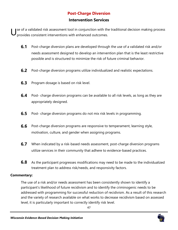# **Post-Charge Diversion Intervention Services**

se of a validated risk assessment tool in conjunction with the traditional decision making process provides consistent interventions with enhanced outcomes. U

- **6.1** Post-charge diversion plans are developed through the use of a validated risk and/or needs assessment designed to develop an intervention plan that is the least restrictive possible and is structured to minimize the risk of future criminal behavior.
- **6.2** Post-charge diversion programs utilize individualized and realistic expectations.
- **6.3** Program dosage is based on risk level.
- **6.4** Post- charge diversion programs can be available to all risk levels, as long as they are appropriately designed.
- **6.5** Post- charge diversion programs do not mix risk levels in programming.
- **6.6** Post-charge diversion programs are responsive to temperament, learning style, motivation, culture, and gender when assigning programs.
- **6.7** When indicated by a risk-based needs assessment, post-charge diversion programs utilize services in their community that adhere to evidence-based practices.
- **6.8** As the participant progresses modifications may need to be made to the individualized treatment plan to address risk/needs, and responsivity factors.

### **Commentary:**

The use of a risk and/or needs assessment has been consistently shown to identify a participant's likelihood of future recidivism and to identify the criminogenic needs to be addressed with programming for successful reduction of recidivism. As a result of this research and the variety of research available on what works to decrease recidivism based on assessed level, it is particularly important to correctly identify risk level.

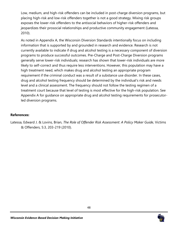Low, medium, and high-risk offenders can be included in post-charge diversion programs, but placing high-risk and low-risk offenders together is not a good strategy. Mixing risk groups exposes the lower-risk offenders to the antisocial behaviors of higher-risk offenders and jeopardizes their prosocial relationships and productive community engagement (Latessa, 2010).

As noted in Appendix A, the Wisconsin Diversion Standards intentionally focus on including information that is supported by and grounded in research and evidence. Research is not currently available to indicate if drug and alcohol testing is a necessary component of diversion programs to produce successful outcomes. Pre-Charge and Post-Charge Diversion programs generally serve lower-risk individuals; research has shown that lower-risk individuals are more likely to self-correct and thus require less interventions. However, this population may have a high treatment need, which makes drug and alcohol testing an appropriate program requirement if the criminal conduct was a result of a substance use disorder. In these cases, drug and alcohol testing frequency should be determined by the individual's risk and needs level and a clinical assessment. The frequency should not follow the testing regimen of a treatment court because that level of testing is most effective for the high-risk population. See Appendix A for guidance on appropriate drug and alcohol testing requirements for prosecutorled diversion programs.

### **References:**

Latessa, Edward J. & Lovins, Brian, *The Role of Offender Risk Assessment: A Policy Maker Guide*, Victims & Offenders, 5:3, 203-219 (2010).

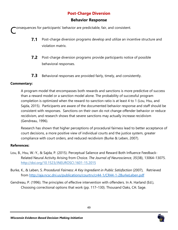# **Post-Charge Diversion**

# **Behavior Response**

onsequences for participants' behavior are predictable, fair, and consistent. C

- **7.1** Post-charge diversion programs develop and utilize an incentive structure and violation matrix.
- **7.2** Post-charge diversion programs provide participants notice of possible behavioral responses.
- **7.3** Behavioral responses are provided fairly, timely, and consistently.

# **Commentary:**

A program model that encompasses both rewards and sanctions is more predictive of success than a reward model or a sanction model alone. The probability of successful program completion is optimized when the reward-to-sanction ratio is at least 4 to 1 (Lou, Hsu, and Sajda, 2015). Participants are aware of the documented behavior response and staff should be consistent with responses. Sanctions on their own do not change offender behavior or reduce recidivism, and research shows that severe sanctions may actually increase recidivism (Gendreau, 1996).

Research has shown that higher perceptions of procedural fairness lead to better acceptance of court decisions, a more positive view of individual courts and the justice system, greater compliance with court orders, and reduced recidivism (Burke & Leben, 2007).

- Lou, B., Hsu, W.-Y., & Sajda, P. (2015). Perceptual Salience and Reward Both Influence Feedback-Related Neural Activity Arising from Choice. *The Journal of Neuroscience*, *35*(38), 13064–13075. <http://doi.org/10.1523/JNEUROSCI.1601-15.2015>
- Burke, K., & Leben, S. *Procedural Fairness: A Key Ingredient in Public Satisfaction* (2007), Retrieved from<http://aja.ncsc.dni.us/publications/courtrv/cr44-1/CR44-1-2BurkeLeben.pdf>
- Gendreau, P. (1996). The principles of effective intervention with offenders. In A. Harland (Ed.), Choosing correctional options that work (pp. 117–130). Thousand Oaks, CA: Sage.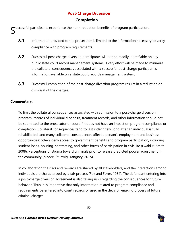# **Post-Charge Diversion**

# **Completion**

uccessful participants experience the harm reduction benefits of program participation. S

- **8.1** Information provided to the prosecutor is limited to the information necessary to verify compliance with program requirements.
- **8.2** Successful post-charge diversion participants will not be readily identifiable on any public state court record management systems. Every effort will be made to minimize the collateral consequences associated with a successful post-charge participant's information available on a state court records management system.
- **8.3** Successful completion of the post-charge diversion program results in a reduction or dismissal of the charges.

# **Commentary:**

To limit the collateral consequences associated with admission to a post-charge diversion program, records of individual diagnosis, treatment records, and other information should not be submitted to the prosecutor or court if it does not have an impact on program compliance or completion. Collateral consequences tend to last indefinitely, long after an individual is fully rehabilitated, and many collateral consequences affect a person's employment and business opportunities; others deny access to government benefits and program participation, including student loans, housing, contracting, and other forms of participation in civic life (Ewald & Smith, 2008). Perceptions of stigma toward criminals prior to release predicted poorer adjustment in the community (Moore, Stuewig, Tangney, 2015).

In collaboration the risks and rewards are shared by all stakeholders, and the interactions among individuals are characterized by a fair process (Fox and Faver, 1984). The defendant entering into a post-charge diversion agreement is also taking risks regarding the consequences for future behavior. Thus, it is imperative that only information related to program compliance and requirements be entered into court records or used in the decision-making process of future criminal charges.

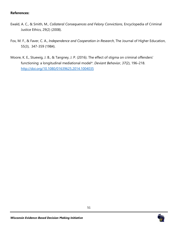- Ewald, A. C., & Smith, M., *Collateral Consequences and Felony Convictions*, Encyclopedia of Criminal Justice Ethics, 29(2) (2008).
- Fox, M. F., & Faver, C. A., *Independence and Cooperation in Research*, The Journal of Higher Education, 55(3), 347-359 (1984).
- Moore, K. E., Stuewig, J. B., & Tangney, J. P. (2016). The effect of stigma on criminal offenders' functioning: a longitudinal mediational model\*. *Deviant Behavior*, *37*(2), 196–218. <http://doi.org/10.1080/01639625.2014.1004035>

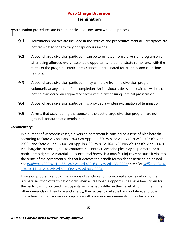# **Post-Charge Diversion Termination**

ermination procedures are fair, equitable, and consistent with due process. T

- **9.1** Termination policies are included in the policies and procedures manual. Participants are not terminated for arbitrary or capricious reasons.
- **9.2** A post-charge diversion participant can be terminated from a diversion program only after being afforded every reasonable opportunity to demonstrate compliance with the terms of the program. Participants cannot be terminated for arbitrary and capricious reasons.
- **9.3** A post-charge diversion participant may withdraw from the diversion program voluntarily at any time before completion. An individual's decision to withdraw should not be considered an aggravated factor within any ensuing criminal prosecution.
- **9.4** A post-charge diversion participant is provided a written explanation of termination.
- **9.5** Arrests that occur during the course of the post-charge diversion program are not grounds for automatic termination.

### **Commentary:**

In a number of Wisconsin cases, a diversion agreement is considered a type of plea bargain, according to State v. Kaczmarsk, 2009 WI App 117, 320 Wis. 2d 811, 772 N.W.2d 702 (Ct. App. 2009)) and State v. Roou, 2007 WI App 193, 305 Wis. 2d 164, 738 NW 2<sup>nd</sup> 173 (Ct. App. 2007). Plea bargains are analogous to contracts, so contract-law principles may help determine a participant's rights. A material and substantial *breach* is a manifest injustice because it violates the terms of the agreement such that it defeats the benefit for which the accused bargained. *See Williams,* [2002 WI 1, ¶ 38, 249 Wis.2d 492, 637 N.W.2d 733](https://scholar.google.com/scholar_case?case=1508187328880363085&q=State+v.+Kaczmarski&hl=en&as_sdt=6,50&as_vis=1) (2002); *see also Deilke,* [2004 WI](https://scholar.google.com/scholar_case?case=2641806646889683839&q=State+v.+Kaczmarski&hl=en&as_sdt=6,50&as_vis=1)  [104, ¶¶ 11-14, 274 Wis.2d 595, 682 N.W.2d 945](https://scholar.google.com/scholar_case?case=2641806646889683839&q=State+v.+Kaczmarski&hl=en&as_sdt=6,50&as_vis=1) (2004).

Diversion programs should use a range of sanctions for non-compliance, resorting to the ultimate sanction of termination only when all reasonable opportunities have been given for the participant to succeed. Participants will invariably differ in their level of commitment, the other demands on their time and energy, their access to reliable transportation, and other characteristics that can make compliance with diversion requirements more challenging.

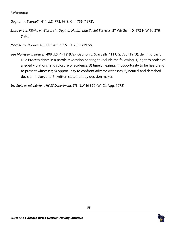#### **References:**

*Gagnon v. Scarpelli*, 411 U.S. 778, 93 S. Ct. 1756 (1973).

*State ex rel. Klinke v. Wisconsin Dept. of Health and Social Services*, 87 Wis.2d 110, 273 N.W.2d 379 (1978).

*Morrisey v. Brewer*, 408 U.S. 471, 92 S. Ct. 2593 (1972).

See *Morrisey v. Brewer*, 408 U.S. 471 (1972), Gagnon v. Scarpelli, 411 U.S. 778 (1973), defining basic Due Process rights in a parole revocation hearing to include the following: 1) right to notice of alleged violations; 2) disclosure of evidence; 3) timely hearing; 4) opportunity to be heard and to present witnesses; 5) opportunity to confront adverse witnesses; 6) neutral and detached decision maker; and 7) written statement by decision maker.

See *State ex rel. Klinke v. H&SS Department*, 273 N.W.2d 379 (WI Ct. App. 1978)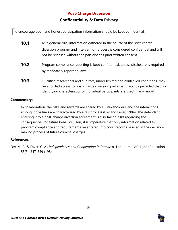# **Post-Charge Diversion Confidentiality & Data Privacy**

To encourage open and honest participation information should be kept confidential.

- **10.1** As a general rule, information gathered in the course of the post-charge diversion program and intervention process is considered confidential and will not be released without the participant's prior written consent.
- **10.2** Program compliance reporting is kept confidential, unless disclosure is required by mandatory reporting laws.
- **10.3** 2D Qualified researchers and auditors, under limited and controlled conditions, may be afforded access to post-charge diversion participant records provided that no identifying characteristics of individual participants are used in any report.

### **Commentary:**

In collaboration, the risks and rewards are shared by all stakeholders, and the interactions among individuals are characterized by a fair process (Fox and Faver, 1984). The defendant entering into a post-charge diversion agreement is also taking risks regarding the consequences for future behavior. Thus, it is imperative that only information related to program compliance and requirements be entered into court records or used in the decisionmaking process of future criminal charges.

# **References:**

Fox, M. F., & Faver, C. A., *Independence and Cooperation in Research*, The Journal of Higher Education, 55(3), 347-359 (1984).

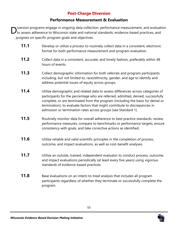# **Post-Charge Diversion**

# **Performance Measurement & Evaluation**

iversion programs engage in ongoing data collection, performance measurement, and evaluation to assess adherence to Wisconsin state and national standards, evidence-based practices, and progress on specific program goals and objectives. D

- **11.1** Develop or utilize a process to routinely collect data in a consistent, electronic format for both performance measurement and program evaluation.
- **11.2** Collect data in a consistent, accurate, and timely fashion, preferably within 48 hours of events.
- **11.3** Collect demographic information for both referrals and program participants including, but not limited to, race/ethnicity, gender, and age to identify and address potential issues of equity across groups.
- **11.4** Utilize demographic and related data to assess differences across categories of participants for the percentage who are referred, admitted, denied, successfully complete, or are terminated from the program (including the basis for denial or termination), to evaluate factors that might contribute to discrepancies in admission or termination rates across groups (see Standard 1).
- **11.5** Routinely monitor data for overall adherence to best practice standards, review performance measures, compare to benchmarks or performance targets, ensure consistency with goals, and take corrective actions as identified.
- **11.6** Utilize reliable and valid scientific principles in the completion of process, outcome, and impact evaluations, as well as cost-benefit analyses.
- **11.7** Utilize an outside, trained, independent evaluator to conduct process, outcome, and impact evaluations periodically (at least every five years) using vigorous standards of evidence-based practices.
- **11.8** Base evaluations on an intent-to-treat analysis that includes all program participants regardless of whether they terminate or successfully complete the program.

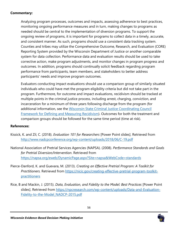### **Commentary:**

Analyzing program processes, outcomes and impacts, assessing adherence to best practices, monitoring ongoing performance measures and in turn, making changes to programs as needed should be central to the implementation of diversion programs. To support the ongoing review of programs, it is important for programs to collect data in a timely, accurate, and consistent manner. As such, programs should use a consistent data tracking system. Counties and tribes may utilize the Comprehensive Outcome, Research, and Evaluation (CORE) Reporting System provided by the Wisconsin Department of Justice or another comparable system for data collection. Performance data and evaluation results should be used to take corrective action, make program adjustments, and monitor changes in program progress and outcomes. In addition, programs should continually solicit feedback regarding program performance from participants, team members, and stakeholders to better address participants' needs and improve program outcomes.

Evaluators conducting impact evaluations should use a comparison group of similarly situated individuals who could have met the program eligibility criteria but did not take part in the program. Furthermore, for outcome and impact evaluations, recidivism should be tracked at multiple points in the criminal justice process, including arrest, charging, conviction, and incarceration for a minimum of three years following discharge from the program (for additional information, see the [Wisconsin State Criminal Justice Coordinating Council](https://cjcc.doj.wi.gov/files/framework-defining-and-measuring-recidivism-revised-july-2016docx)  [Framework for Defining and Measuring Recidivism\)](https://cjcc.doj.wi.gov/files/framework-defining-and-measuring-recidivism-revised-july-2016docx). Outcomes for both the treatment and comparison groups should be followed for the same time period (time at risk).

- Kissick, K. and Zil, C. (2018). *Evaluation 101 for Researchers* [Power Point slides]. Retrieved from <http://www.nadcpconference.org/wp-content/uploads/2018/06/C-19.pdf>
- National Association of Pretrial Services Agencies (NAPSA). (2008). *Performance Standards and Goals for Pretrial Diversion/Intervention*. Retrieved from <https://napsa.org/eweb/DynamicPage.aspx?Site=napsa&WebCode=standards>
- Pierce-Danford, K. and Guevara, M. (2013). *Creating an Effective Pretrial Program: A Toolkit for Practitioners.* Retrieved from [https://nicic.gov/creating-effective-pretrial-program-toolkit](https://nicic.gov/creating-effective-pretrial-program-toolkit-practitioners)[practitioners](https://nicic.gov/creating-effective-pretrial-program-toolkit-practitioners)
- Rice, B and Mackin, J. (2015). *Data, Evaluation, and Fidelity to the Model: Best Practices* [Power Point slides]. Retrieved from [https://npcresearch.com/wp-content/uploads/Data-and-Evaluation-](https://npcresearch.com/wp-content/uploads/Data-and-Evaluation-Fidelity-to-the-Model_NADCP-2015.pdf)[Fidelity-to-the-Model\\_NADCP-2015.pdf](https://npcresearch.com/wp-content/uploads/Data-and-Evaluation-Fidelity-to-the-Model_NADCP-2015.pdf)

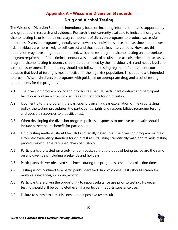# **Appendix A – Wisconsin Diversion Standards Drug and Alcohol Testing**

The Wisconsin Diversion Standards intentionally focus on including information that is supported by and grounded in research and evidence. Research is not currently available to indicate if drug and alcohol testing is, or is not, a necessary component of diversion programs to produce successful outcomes. Diversion programs generally serve lower-risk individuals; research has shown that lowerrisk individuals are more likely to self-correct and thus require less interventions. However, this population may have a high treatment need, which makes drug and alcohol testing an appropriate program requirement if the criminal conduct was a result of a substance use disorder. In these cases, drug and alcohol testing frequency should be determined by the individual's risk and needs level and a clinical assessment. The frequency should not follow the testing regimen of a treatment court because that level of testing is most effective for the high-risk population. This appendix is intended to provide Wisconsin diversion programs with guidance on appropriate drug and alcohol testing requirements for the programs.

- A.1 The diversion program policy and procedures manual, participant contract and participant handbook contain written procedures and methods for drug testing.
- A.2 Upon entry to the program, the participant is given a clear explanation of the drug testing policy, the testing procedures, the participant's rights and responsibilities regarding testing, and possible responses to a positive test.
- A.3 When developing the diversion program policies, responses to positive test results should include a therapeutic benefit for participants.
- A.4 Drug testing methods should be valid and legally defensible. The diversion program maintains a forensic evidentiary standard for drug test results, using scientifically valid and reliable testing procedures with an established chain of custody.
- A.5 Participants are tested on a truly random basis, so that the odds of being tested are the same on any given day, including weekends and holidays.
- A.6 Participants deliver observed specimens during the program's scheduled collection times.
- A.7 Testing is not confined to a participant's identified drug of choice. Tests should screen for multiple substances, including alcohol.
- A.8 Participants are given the opportunity to report substance use prior to testing. However, testing should still be completed even if a participant reports substance use.
- A.9 Failure to submit to a test is considered a positive test result.